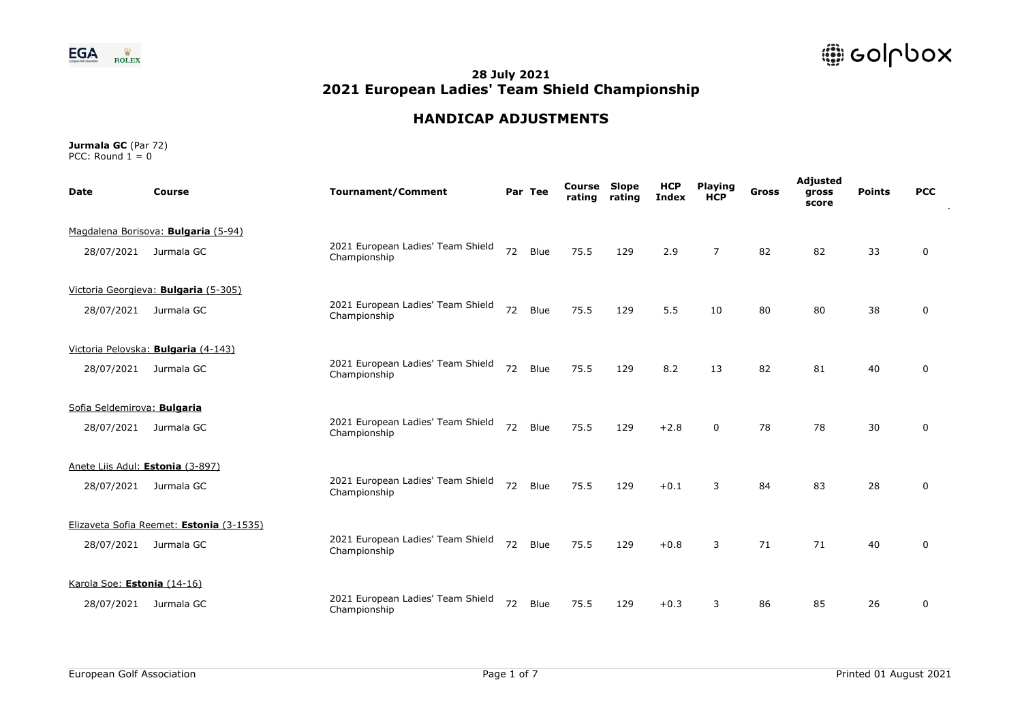

# **HANDICAP ADJUSTMENTS**

| <b>Date</b>                 | <b>Course</b>                            | <b>Tournament/Comment</b>                         |    | Par Tee | Course<br>rating | Slope<br>rating | <b>HCP</b><br><b>Index</b> | <b>Playing</b><br><b>HCP</b> | <b>Gross</b> | Adjusted<br>gross<br>score | <b>Points</b> | <b>PCC</b>  |
|-----------------------------|------------------------------------------|---------------------------------------------------|----|---------|------------------|-----------------|----------------------------|------------------------------|--------------|----------------------------|---------------|-------------|
|                             | Magdalena Borisova: Bulgaria (5-94)      |                                                   |    |         |                  |                 |                            |                              |              |                            |               |             |
| 28/07/2021                  | Jurmala GC                               | 2021 European Ladies' Team Shield<br>Championship | 72 | Blue    | 75.5             | 129             | 2.9                        | $\overline{7}$               | 82           | 82                         | 33            | 0           |
|                             | Victoria Georgieva: Bulgaria (5-305)     |                                                   |    |         |                  |                 |                            |                              |              |                            |               |             |
| 28/07/2021                  | Jurmala GC                               | 2021 European Ladies' Team Shield<br>Championship | 72 | Blue    | 75.5             | 129             | 5.5                        | 10                           | 80           | 80                         | 38            | $\mathbf 0$ |
|                             | Victoria Pelovska: Bulgaria (4-143)      |                                                   |    |         |                  |                 |                            |                              |              |                            |               |             |
| 28/07/2021                  | Jurmala GC                               | 2021 European Ladies' Team Shield<br>Championship | 72 | Blue    | 75.5             | 129             | 8.2                        | 13                           | 82           | 81                         | 40            | 0           |
| Sofia Seldemirova: Bulgaria |                                          |                                                   |    |         |                  |                 |                            |                              |              |                            |               |             |
| 28/07/2021                  | Jurmala GC                               | 2021 European Ladies' Team Shield<br>Championship | 72 | Blue    | 75.5             | 129             | $+2.8$                     | $\Omega$                     | 78           | 78                         | 30            | 0           |
|                             | Anete Liis Adul: Estonia (3-897)         |                                                   |    |         |                  |                 |                            |                              |              |                            |               |             |
| 28/07/2021                  | Jurmala GC                               | 2021 European Ladies' Team Shield<br>Championship | 72 | Blue    | 75.5             | 129             | $+0.1$                     | 3                            | 84           | 83                         | 28            | 0           |
|                             | Elizaveta Sofia Reemet: Estonia (3-1535) |                                                   |    |         |                  |                 |                            |                              |              |                            |               |             |
| 28/07/2021                  | Jurmala GC                               | 2021 European Ladies' Team Shield<br>Championship | 72 | Blue    | 75.5             | 129             | $+0.8$                     | 3                            | 71           | 71                         | 40            | $\mathbf 0$ |
| Karola Soe: Estonia (14-16) |                                          |                                                   |    |         |                  |                 |                            |                              |              |                            |               |             |
| 28/07/2021                  | Jurmala GC                               | 2021 European Ladies' Team Shield<br>Championship | 72 | Blue    | 75.5             | 129             | $+0.3$                     | 3                            | 86           | 85                         | 26            | 0           |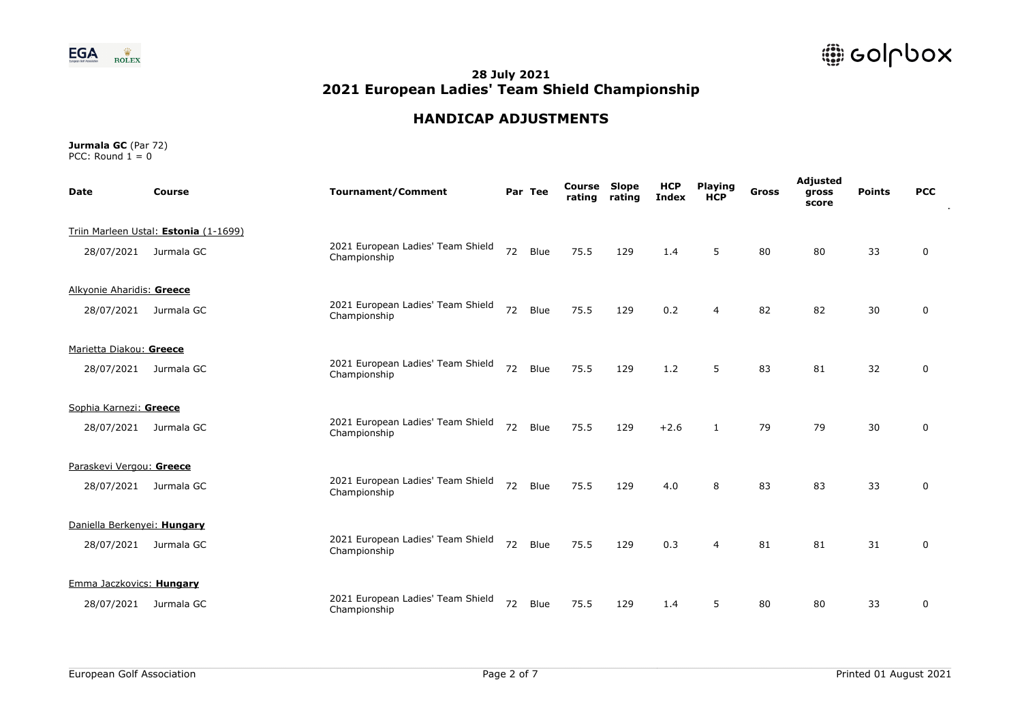

# **HANDICAP ADJUSTMENTS**

| <b>Date</b>                 | Course                                | <b>Tournament/Comment</b>                         |    | Par Tee | Course<br>rating | Slope<br>rating | <b>HCP</b><br><b>Index</b> | <b>Playing</b><br><b>HCP</b> | <b>Gross</b> | Adjusted<br>gross<br>score | <b>Points</b> | <b>PCC</b>  |  |
|-----------------------------|---------------------------------------|---------------------------------------------------|----|---------|------------------|-----------------|----------------------------|------------------------------|--------------|----------------------------|---------------|-------------|--|
|                             | Triin Marleen Ustal: Estonia (1-1699) |                                                   |    |         |                  |                 |                            |                              |              |                            |               |             |  |
| 28/07/2021                  | Jurmala GC                            | 2021 European Ladies' Team Shield<br>Championship | 72 | Blue    | 75.5             | 129             | 1.4                        | 5                            | 80           | 80                         | 33            | 0           |  |
| Alkyonie Aharidis: Greece   |                                       |                                                   |    |         |                  |                 |                            |                              |              |                            |               |             |  |
| 28/07/2021                  | Jurmala GC                            | 2021 European Ladies' Team Shield<br>Championship | 72 | Blue    | 75.5             | 129             | 0.2                        | 4                            | 82           | 82                         | 30            | 0           |  |
| Marietta Diakou: Greece     |                                       |                                                   |    |         |                  |                 |                            |                              |              |                            |               |             |  |
| 28/07/2021                  | Jurmala GC                            | 2021 European Ladies' Team Shield<br>Championship | 72 | Blue    | 75.5             | 129             | 1.2                        | 5                            | 83           | 81                         | 32            | 0           |  |
| Sophia Karnezi: Greece      |                                       |                                                   |    |         |                  |                 |                            |                              |              |                            |               |             |  |
| 28/07/2021                  | Jurmala GC                            | 2021 European Ladies' Team Shield<br>Championship | 72 | Blue    | 75.5             | 129             | $+2.6$                     | $\mathbf{1}$                 | 79           | 79                         | 30            | $\mathbf 0$ |  |
| Paraskevi Vergou: Greece    |                                       |                                                   |    |         |                  |                 |                            |                              |              |                            |               |             |  |
| 28/07/2021                  | Jurmala GC                            | 2021 European Ladies' Team Shield<br>Championship | 72 | Blue    | 75.5             | 129             | 4.0                        | 8                            | 83           | 83                         | 33            | 0           |  |
| Daniella Berkenyei: Hungary |                                       |                                                   |    |         |                  |                 |                            |                              |              |                            |               |             |  |
|                             | 28/07/2021 Jurmala GC                 | 2021 European Ladies' Team Shield<br>Championship | 72 | Blue    | 75.5             | 129             | 0.3                        | 4                            | 81           | 81                         | 31            | $\mathbf 0$ |  |
| Emma Jaczkovics: Hungary    |                                       |                                                   |    |         |                  |                 |                            |                              |              |                            |               |             |  |
| 28/07/2021                  | Jurmala GC                            | 2021 European Ladies' Team Shield<br>Championship | 72 | Blue    | 75.5             | 129             | 1.4                        | 5                            | 80           | 80                         | 33            | 0           |  |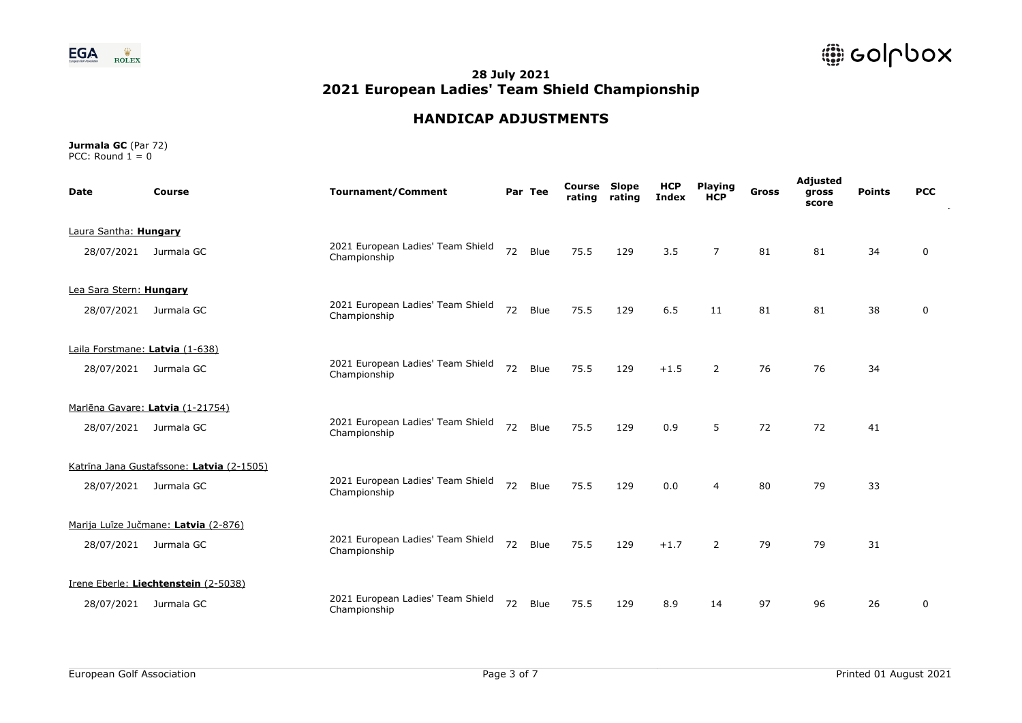



# **HANDICAP ADJUSTMENTS**

| <b>Date</b>             | <b>Course</b>                             | <b>Tournament/Comment</b>                         |    | Par Tee | Course<br>rating | Slope<br>rating | <b>HCP</b><br><b>Index</b> | <b>Playing</b><br><b>HCP</b> | <b>Gross</b> | Adjusted<br>gross<br>score | <b>Points</b> | <b>PCC</b> |
|-------------------------|-------------------------------------------|---------------------------------------------------|----|---------|------------------|-----------------|----------------------------|------------------------------|--------------|----------------------------|---------------|------------|
| Laura Santha: Hungary   |                                           |                                                   |    |         |                  |                 |                            |                              |              |                            |               |            |
| 28/07/2021              | Jurmala GC                                | 2021 European Ladies' Team Shield<br>Championship | 72 | Blue    | 75.5             | 129             | 3.5                        | $\overline{7}$               | 81           | 81                         | 34            | 0          |
| Lea Sara Stern: Hungary |                                           |                                                   |    |         |                  |                 |                            |                              |              |                            |               |            |
| 28/07/2021              | Jurmala GC                                | 2021 European Ladies' Team Shield<br>Championship | 72 | Blue    | 75.5             | 129             | 6.5                        | 11                           | 81           | 81                         | 38            | 0          |
|                         | Laila Forstmane: Latvia (1-638)           |                                                   |    |         |                  |                 |                            |                              |              |                            |               |            |
|                         | 28/07/2021 Jurmala GC                     | 2021 European Ladies' Team Shield<br>Championship | 72 | Blue    | 75.5             | 129             | $+1.5$                     | $\mathcal{P}$                | 76           | 76                         | 34            |            |
|                         | Marlēna Gavare: Latvia (1-21754)          |                                                   |    |         |                  |                 |                            |                              |              |                            |               |            |
| 28/07/2021              | Jurmala GC                                | 2021 European Ladies' Team Shield<br>Championship | 72 | Blue    | 75.5             | 129             | 0.9                        | 5                            | 72           | 72                         | 41            |            |
|                         | Katrīna Jana Gustafssone: Latvia (2-1505) |                                                   |    |         |                  |                 |                            |                              |              |                            |               |            |
|                         | 28/07/2021 Jurmala GC                     | 2021 European Ladies' Team Shield<br>Championship | 72 | Blue    | 75.5             | 129             | 0.0                        | 4                            | 80           | 79                         | 33            |            |
|                         | Marija Luize Jučmane: Latvia (2-876)      |                                                   |    |         |                  |                 |                            |                              |              |                            |               |            |
| 28/07/2021              | Jurmala GC                                | 2021 European Ladies' Team Shield<br>Championship | 72 | Blue    | 75.5             | 129             | $+1.7$                     | 2                            | 79           | 79                         | 31            |            |
|                         | Irene Eberle: Liechtenstein (2-5038)      |                                                   |    |         |                  |                 |                            |                              |              |                            |               |            |
| 28/07/2021              | Jurmala GC                                | 2021 European Ladies' Team Shield<br>Championship | 72 | Blue    | 75.5             | 129             | 8.9                        | 14                           | 97           | 96                         | 26            | 0          |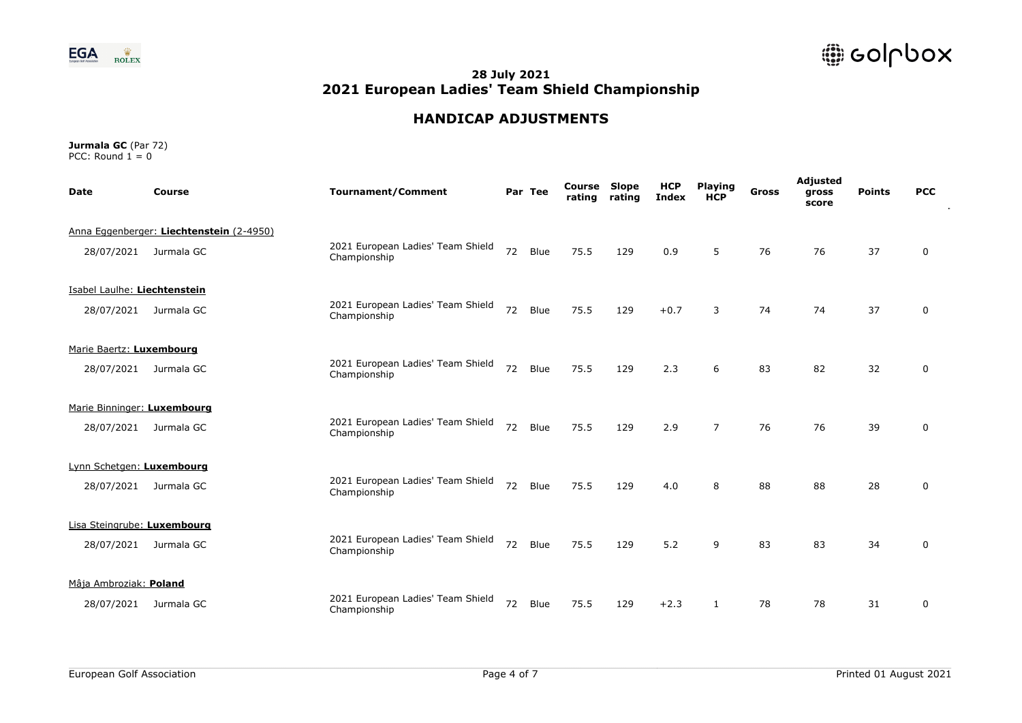

# **HANDICAP ADJUSTMENTS**

| <b>Date</b>                  | <b>Course</b>                            | <b>Tournament/Comment</b>                         |    | Par Tee | Course<br>rating | Slope<br>rating | <b>HCP</b><br><b>Index</b> | <b>Playing</b><br><b>HCP</b> | <b>Gross</b> | Adjusted<br>gross<br>score | <b>Points</b> | <b>PCC</b>  |  |
|------------------------------|------------------------------------------|---------------------------------------------------|----|---------|------------------|-----------------|----------------------------|------------------------------|--------------|----------------------------|---------------|-------------|--|
|                              | Anna Eggenberger: Liechtenstein (2-4950) |                                                   |    |         |                  |                 |                            |                              |              |                            |               |             |  |
| 28/07/2021                   | Jurmala GC                               | 2021 European Ladies' Team Shield<br>Championship | 72 | Blue    | 75.5             | 129             | 0.9                        | 5                            | 76           | 76                         | 37            | 0           |  |
| Isabel Laulhe: Liechtenstein |                                          |                                                   |    |         |                  |                 |                            |                              |              |                            |               |             |  |
| 28/07/2021                   | Jurmala GC                               | 2021 European Ladies' Team Shield<br>Championship | 72 | Blue    | 75.5             | 129             | $+0.7$                     | 3                            | 74           | 74                         | 37            | $\mathbf 0$ |  |
| Marie Baertz: Luxembourg     |                                          |                                                   |    |         |                  |                 |                            |                              |              |                            |               |             |  |
| 28/07/2021                   | Jurmala GC                               | 2021 European Ladies' Team Shield<br>Championship | 72 | Blue    | 75.5             | 129             | 2.3                        | 6                            | 83           | 82                         | 32            | 0           |  |
| Marie Binninger: Luxembourg  |                                          |                                                   |    |         |                  |                 |                            |                              |              |                            |               |             |  |
| 28/07/2021                   | Jurmala GC                               | 2021 European Ladies' Team Shield<br>Championship | 72 | Blue    | 75.5             | 129             | 2.9                        | $\overline{7}$               | 76           | 76                         | 39            | $\mathbf 0$ |  |
| Lynn Schetgen: Luxembourg    |                                          |                                                   |    |         |                  |                 |                            |                              |              |                            |               |             |  |
| 28/07/2021                   | Jurmala GC                               | 2021 European Ladies' Team Shield<br>Championship | 72 | Blue    | 75.5             | 129             | 4.0                        | 8                            | 88           | 88                         | 28            | 0           |  |
| Lisa Steingrube: Luxembourg  |                                          |                                                   |    |         |                  |                 |                            |                              |              |                            |               |             |  |
| 28/07/2021                   | Jurmala GC                               | 2021 European Ladies' Team Shield<br>Championship | 72 | Blue    | 75.5             | 129             | 5.2                        | 9                            | 83           | 83                         | 34            | $\mathbf 0$ |  |
| Mâja Ambroziak: Poland       |                                          |                                                   |    |         |                  |                 |                            |                              |              |                            |               |             |  |
| 28/07/2021                   | Jurmala GC                               | 2021 European Ladies' Team Shield<br>Championship | 72 | Blue    | 75.5             | 129             | $+2.3$                     | 1                            | 78           | 78                         | 31            | 0           |  |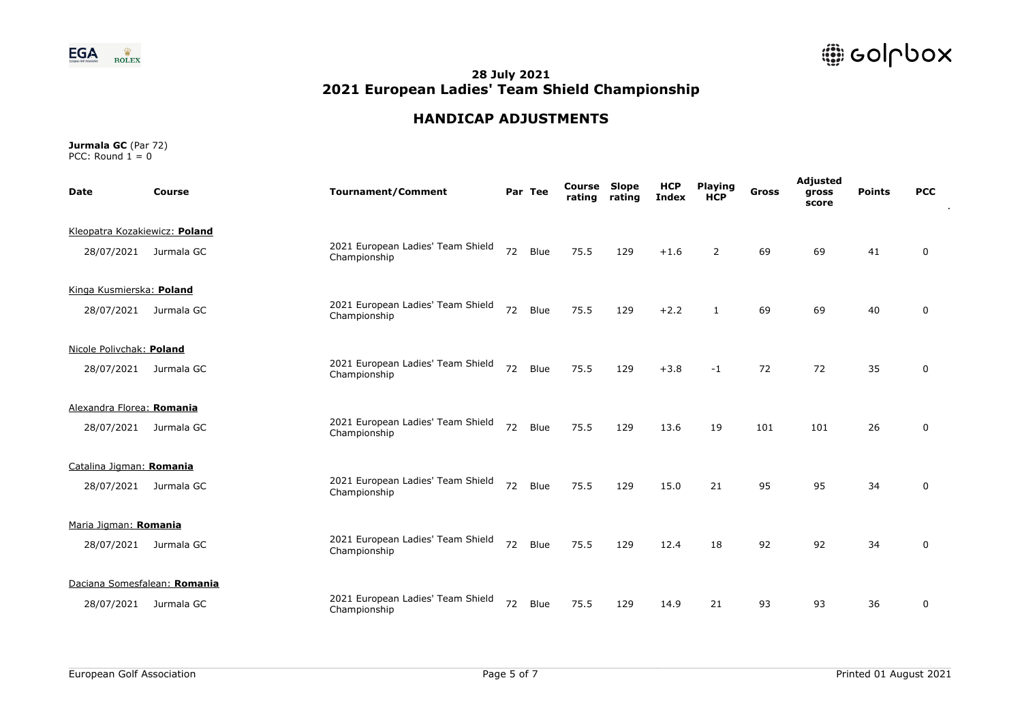

# **HANDICAP ADJUSTMENTS**

| <b>Date</b>                   | <b>Course</b>                | <b>Tournament/Comment</b>                         |    | Par Tee | Course<br>rating | Slope<br>rating | <b>HCP</b><br><b>Index</b> | <b>Playing</b><br><b>HCP</b> | <b>Gross</b> | Adjusted<br>gross<br>score | <b>Points</b> | <b>PCC</b>  |
|-------------------------------|------------------------------|---------------------------------------------------|----|---------|------------------|-----------------|----------------------------|------------------------------|--------------|----------------------------|---------------|-------------|
| Kleopatra Kozakiewicz: Poland |                              |                                                   |    |         |                  |                 |                            |                              |              |                            |               |             |
| 28/07/2021                    | Jurmala GC                   | 2021 European Ladies' Team Shield<br>Championship | 72 | Blue    | 75.5             | 129             | $+1.6$                     | 2                            | 69           | 69                         | 41            | 0           |
| Kinga Kusmierska: Poland      |                              |                                                   |    |         |                  |                 |                            |                              |              |                            |               |             |
| 28/07/2021                    | Jurmala GC                   | 2021 European Ladies' Team Shield<br>Championship | 72 | Blue    | 75.5             | 129             | $+2.2$                     | $\mathbf{1}$                 | 69           | 69                         | 40            | 0           |
| Nicole Polivchak: Poland      |                              |                                                   |    |         |                  |                 |                            |                              |              |                            |               |             |
| 28/07/2021                    | Jurmala GC                   | 2021 European Ladies' Team Shield<br>Championship | 72 | Blue    | 75.5             | 129             | $+3.8$                     | $-1$                         | 72           | 72                         | 35            | 0           |
| Alexandra Florea: Romania     |                              |                                                   |    |         |                  |                 |                            |                              |              |                            |               |             |
| 28/07/2021                    | Jurmala GC                   | 2021 European Ladies' Team Shield<br>Championship | 72 | Blue    | 75.5             | 129             | 13.6                       | 19                           | 101          | 101                        | 26            | $\mathbf 0$ |
| Catalina Jigman: Romania      |                              |                                                   |    |         |                  |                 |                            |                              |              |                            |               |             |
| 28/07/2021                    | Jurmala GC                   | 2021 European Ladies' Team Shield<br>Championship | 72 | Blue    | 75.5             | 129             | 15.0                       | 21                           | 95           | 95                         | 34            | 0           |
| Maria Jigman: Romania         |                              |                                                   |    |         |                  |                 |                            |                              |              |                            |               |             |
| 28/07/2021                    | Jurmala GC                   | 2021 European Ladies' Team Shield<br>Championship | 72 | Blue    | 75.5             | 129             | 12.4                       | 18                           | 92           | 92                         | 34            | $\mathbf 0$ |
|                               | Daciana Somesfalean: Romania |                                                   |    |         |                  |                 |                            |                              |              |                            |               |             |
| 28/07/2021                    | Jurmala GC                   | 2021 European Ladies' Team Shield<br>Championship | 72 | Blue    | 75.5             | 129             | 14.9                       | 21                           | 93           | 93                         | 36            | 0           |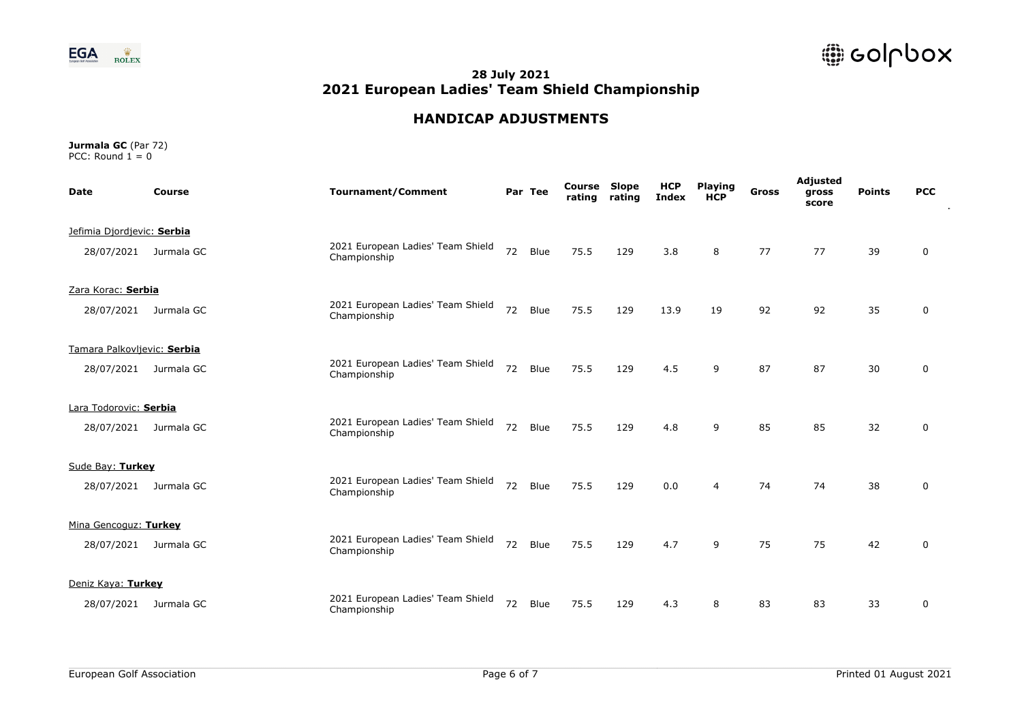

# **HANDICAP ADJUSTMENTS**

| <b>Date</b>                 | Course                | <b>Tournament/Comment</b>                         |    | Par Tee | Course<br>rating | Slope<br>rating | <b>HCP</b><br><b>Index</b> | <b>Playing</b><br><b>HCP</b> | <b>Gross</b> | Adjusted<br>gross<br>score | <b>Points</b> | <b>PCC</b>  |
|-----------------------------|-----------------------|---------------------------------------------------|----|---------|------------------|-----------------|----------------------------|------------------------------|--------------|----------------------------|---------------|-------------|
| Jefimia Djordjevic: Serbia  |                       |                                                   |    |         |                  |                 |                            |                              |              |                            |               |             |
|                             | 28/07/2021 Jurmala GC | 2021 European Ladies' Team Shield<br>Championship | 72 | Blue    | 75.5             | 129             | 3.8                        | 8                            | 77           | 77                         | 39            | 0           |
| Zara Korac: Serbia          |                       |                                                   |    |         |                  |                 |                            |                              |              |                            |               |             |
| 28/07/2021                  | Jurmala GC            | 2021 European Ladies' Team Shield<br>Championship | 72 | Blue    | 75.5             | 129             | 13.9                       | 19                           | 92           | 92                         | 35            | 0           |
| Tamara Palkovljevic: Serbia |                       |                                                   |    |         |                  |                 |                            |                              |              |                            |               |             |
|                             | 28/07/2021 Jurmala GC | 2021 European Ladies' Team Shield<br>Championship | 72 | Blue    | 75.5             | 129             | 4.5                        | 9                            | 87           | 87                         | 30            | 0           |
| Lara Todorovic: Serbia      |                       |                                                   |    |         |                  |                 |                            |                              |              |                            |               |             |
| 28/07/2021                  | Jurmala GC            | 2021 European Ladies' Team Shield<br>Championship | 72 | Blue    | 75.5             | 129             | 4.8                        | 9                            | 85           | 85                         | 32            | $\mathbf 0$ |
| Sude Bay: Turkey            |                       |                                                   |    |         |                  |                 |                            |                              |              |                            |               |             |
| 28/07/2021                  | Jurmala GC            | 2021 European Ladies' Team Shield<br>Championship | 72 | Blue    | 75.5             | 129             | 0.0                        | 4                            | 74           | 74                         | 38            | 0           |
| Mina Gencoguz: Turkey       |                       |                                                   |    |         |                  |                 |                            |                              |              |                            |               |             |
|                             | 28/07/2021 Jurmala GC | 2021 European Ladies' Team Shield<br>Championship | 72 | Blue    | 75.5             | 129             | 4.7                        | 9                            | 75           | 75                         | 42            | $\mathbf 0$ |
| Deniz Kaya: Turkey          |                       |                                                   |    |         |                  |                 |                            |                              |              |                            |               |             |
| 28/07/2021                  | Jurmala GC            | 2021 European Ladies' Team Shield<br>Championship | 72 | Blue    | 75.5             | 129             | 4.3                        | 8                            | 83           | 83                         | 33            | 0           |